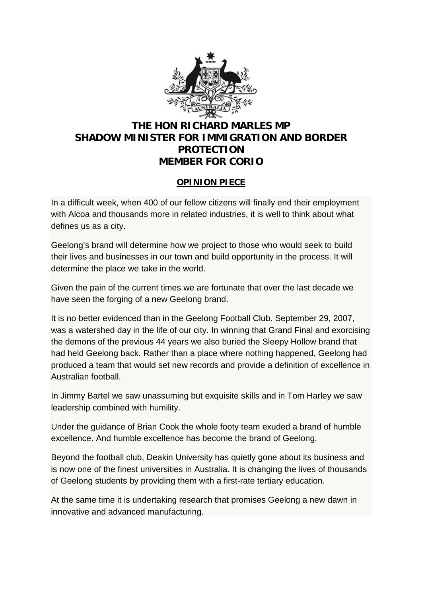

## **THE HON RICHARD MARLES MP SHADOW MINISTER FOR IMMIGRATION AND BORDER PROTECTION MEMBER FOR CORIO**

## **OPINION PIECE**

In a difficult week, when 400 of our fellow citizens will finally end their employment with Alcoa and thousands more in related industries, it is well to think about what defines us as a city.

Geelong's brand will determine how we project to those who would seek to build their lives and businesses in our town and build opportunity in the process. It will determine the place we take in the world.

Given the pain of the current times we are fortunate that over the last decade we have seen the forging of a new Geelong brand.

It is no better evidenced than in the Geelong Football Club. September 29, 2007, was a watershed day in the life of our city. In winning that Grand Final and exorcising the demons of the previous 44 years we also buried the Sleepy Hollow brand that had held Geelong back. Rather than a place where nothing happened, Geelong had produced a team that would set new records and provide a definition of excellence in Australian football.

In Jimmy Bartel we saw unassuming but exquisite skills and in Tom Harley we saw leadership combined with humility.

Under the guidance of Brian Cook the whole footy team exuded a brand of humble excellence. And humble excellence has become the brand of Geelong.

Beyond the football club, Deakin University has quietly gone about its business and is now one of the finest universities in Australia. It is changing the lives of thousands of Geelong students by providing them with a first-rate tertiary education.

At the same time it is undertaking research that promises Geelong a new dawn in innovative and advanced manufacturing.